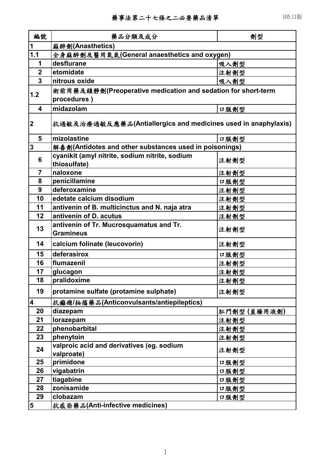| 編號                      | 藥品分類及成分                                                       | 劑型          |  |
|-------------------------|---------------------------------------------------------------|-------------|--|
| 1                       | 麻醉劑(Anasthetics)                                              |             |  |
| 1.1                     | 全身麻醉劑及醫用氧氣(General anaesthetics and oxygen)                   |             |  |
| 1                       | desflurane                                                    | 吸入劑型        |  |
| $\mathbf{2}$            | etomidate                                                     | 注射劑型        |  |
| $\overline{3}$          | nitrous oxide                                                 | 吸入劑型        |  |
|                         | 術前用藥及鎮靜劑(Preoperative medication and sedation for short-term  |             |  |
| 1.2                     | procedures)                                                   |             |  |
| 4                       | midazolam                                                     | 口服劑型        |  |
|                         |                                                               |             |  |
| $\mathbf 2$             | 抗過敏及治療過敏反應藥品(Antiallergics and medicines used in anaphylaxis) |             |  |
| 5                       | mizolastine                                                   | 口服劑型        |  |
| $\overline{\mathbf{3}}$ | 解毒劑(Antidotes and other substances used in poisonings)        |             |  |
| 6                       | cyanikit (amyl nitrite, sodium nitrite, sodium                | 注射劑型        |  |
|                         | thiosulfate)                                                  |             |  |
| $\overline{7}$          | naloxone                                                      | 注射劑型        |  |
| 8                       | penicillamine                                                 | 口服劑型        |  |
| 9                       | deferoxamine                                                  | 注射劑型        |  |
| 10                      | edetate calcium disodium                                      | 注射劑型        |  |
| 11                      | antivenin of B. multicinctus and N. naja atra                 | 注射劑型        |  |
| 12                      | antivenin of D. acutus                                        | 注射劑型        |  |
| 13                      | antivenin of Tr. Mucrosquamatus and Tr.                       | 注射劑型        |  |
|                         | <b>Gramineus</b>                                              |             |  |
| 14                      | calcium folinate (leucovorin)                                 | 注射劑型        |  |
| 15                      | deferasirox                                                   | 口服劑型        |  |
| 16                      | flumazenil                                                    | 注射劑型        |  |
| 17                      | glucagon                                                      | 注射劑型        |  |
| 18                      | pralidoxime                                                   | 注射劑型        |  |
| 19                      | protamine sulfate (protamine sulphate)                        | 注射劑型        |  |
| $\overline{\mathbf{4}}$ | 抗癲癇/抽搐藥品(Anticonvulsants/antiepileptics)                      |             |  |
| 20                      | diazepam                                                      | 肛門劑型(直腸用液劑) |  |
| 21                      | lorazepam                                                     | 注射劑型        |  |
| 22                      | phenobarbital                                                 | 注射劑型        |  |
| 23                      | phenytoin                                                     | 注射劑型        |  |
| 24                      | valproic acid and derivatives (eg. sodium                     |             |  |
|                         | valproate)                                                    | 注射劑型        |  |
| 25                      | primidone                                                     | 口服劑型        |  |
| 26                      | vigabatrin                                                    | 口服劑型        |  |
| 27                      | tiagabine                                                     | 口服劑型        |  |
| 28                      | zonisamide                                                    | 口服劑型        |  |
| 29                      | clobazam                                                      | 口服劑型        |  |
| 5                       | 抗感染藥品(Anti-infective medicines)                               |             |  |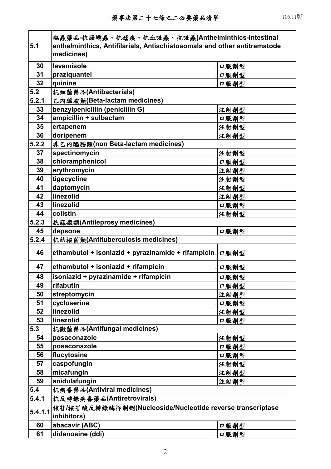| 5.1     | 驅蟲藥品-抗腸蠕蟲、抗瘧疾、抗血吸蟲、抗吸蟲(Anthelminthics-Intestinal<br>anthelminthics, Antifilarials, Antischistosomals and other antitrematode<br>medicines) |      |  |
|---------|--------------------------------------------------------------------------------------------------------------------------------------------|------|--|
| 30      | levamisole                                                                                                                                 | 口服劑型 |  |
| 31      | praziquantel                                                                                                                               | 口服劑型 |  |
| 32      | quinine                                                                                                                                    | 口服劑型 |  |
| 5.2     | 抗細菌藥品(Antibacterials)                                                                                                                      |      |  |
| 5.2.1   | 乙内醯胺類(Beta-lactam medicines)                                                                                                               |      |  |
| 33      | benzylpenicillin (penicillin G)                                                                                                            | 注射劑型 |  |
| 34      | ampicillin + sulbactam                                                                                                                     | 口服劑型 |  |
| 35      | ertapenem                                                                                                                                  | 注射劑型 |  |
| 36      | doripenem                                                                                                                                  | 注射劑型 |  |
| 5.2.2   | 非乙內醯胺類(non Beta-lactam medicines)                                                                                                          |      |  |
| 37      | spectinomycin                                                                                                                              | 注射劑型 |  |
| 38      | chloramphenicol                                                                                                                            | 口服劑型 |  |
| 39      | erythromycin                                                                                                                               | 注射劑型 |  |
| 40      | tigecycline                                                                                                                                | 注射劑型 |  |
| 41      | daptomycin                                                                                                                                 | 注射劑型 |  |
| 42      | linezolid                                                                                                                                  | 注射劑型 |  |
| 43      | linezolid                                                                                                                                  | 口服劑型 |  |
| 44      | colistin                                                                                                                                   | 注射劑型 |  |
| 5.2.3   | 抗麻瘋類(Antileprosy medicines)                                                                                                                |      |  |
| 45      | dapsone                                                                                                                                    | 口服劑型 |  |
| 5.2.4   | 抗結核菌類(Antituberculosis medicines)                                                                                                          |      |  |
| 46      | ethambutol + isoniazid + pyrazinamide + rifampicin                                                                                         | 口服劑型 |  |
| 47      | ethambutol + isoniazid + rifampicin                                                                                                        | 口服劑型 |  |
| 48      | isoniazid + pyrazinamide + rifampicin                                                                                                      | 口服劑型 |  |
| 49      | rifabutin                                                                                                                                  | 口服劑型 |  |
| 50      | streptomycin                                                                                                                               | 注射劑型 |  |
| 51      | cycloserine                                                                                                                                | 口服劑型 |  |
| 52      | linezolid                                                                                                                                  | 注射劑型 |  |
| 53      | linezolid                                                                                                                                  | 口服劑型 |  |
| 5.3     | 抗微菌藥品(Antifungal medicines)                                                                                                                |      |  |
| 54      | posaconazole                                                                                                                               | 注射劑型 |  |
| 55      | posaconazole                                                                                                                               | 口服劑型 |  |
| 56      | flucytosine                                                                                                                                | 口服劑型 |  |
| 57      | caspofungin                                                                                                                                | 注射劑型 |  |
| 58      | micafungin                                                                                                                                 | 注射劑型 |  |
| 59      | anidulafungin                                                                                                                              | 注射劑型 |  |
| 5.4     | 抗病毒藥品(Antiviral medicines)                                                                                                                 |      |  |
| 5.4.1   | 抗反轉錄病毒藥品(Antiretrovirals)                                                                                                                  |      |  |
| 5.4.1.1 | 核苷/核苷酸反轉錄酶抑制劑(Nucleoside/Nucleotide reverse transcriptase<br>inhibitors)                                                                   |      |  |
| 60      | abacavir (ABC)                                                                                                                             | 口服劑型 |  |
| 61      | didanosine (ddi)                                                                                                                           | 口服劑型 |  |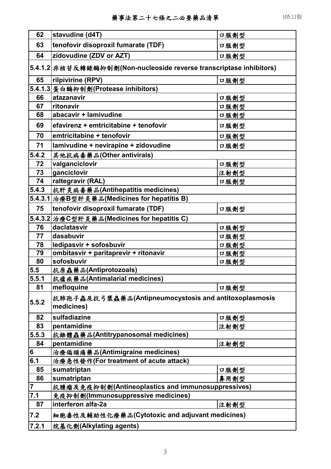| 62             | stavudine (d4T)                                                     | 口服劑型 |  |
|----------------|---------------------------------------------------------------------|------|--|
| 63             | tenofovir disoproxil fumarate (TDF)                                 | 口服劑型 |  |
| 64             | zidovudine (ZDV or AZT)                                             | 口服劑型 |  |
|                | 5.4.1.2 非核苷反轉錄酶抑制劑(Non-nucleoside reverse transcriptase inhibitors) |      |  |
| 65             | rilpivirine (RPV)                                                   | 口服劑型 |  |
|                | 5.4.1.3 蛋白酶抑制劑(Protease inhibitors)                                 |      |  |
| 66             | atazanavir                                                          | 口服劑型 |  |
| 67             | ritonavir                                                           | 口服劑型 |  |
| 68             | abacavir + lamivudine                                               | 口服劑型 |  |
| 69             | efavirenz + emtricitabine + tenofovir                               | 口服劑型 |  |
| 70             | emtricitabine + tenofovir                                           | 口服劑型 |  |
| 71             | lamivudine + nevirapine + zidovudine                                | 口服劑型 |  |
| 5.4.2          | 其他抗病毒藥品(Other antivirals)                                           |      |  |
| 72             | valganciclovir                                                      | 口服劑型 |  |
| 73             | ganciclovir                                                         | 注射劑型 |  |
| 74             | raltegravir (RAL)                                                   | 口服劑型 |  |
| 5.4.3          | 抗肝炎病毒藥品(Antihepatitis medicines)                                    |      |  |
| 5.4.3.1        | │治療B型肝炎藥品(Medicines for hepatitis B)                                |      |  |
| 75             | tenofovir disoproxil fumarate (TDF)                                 | 口服劑型 |  |
|                | 5.4.3.2 治療C型肝炎藥品(Medicines for hepatitis C)                         |      |  |
| 76             | daclatasvir                                                         | 口服劑型 |  |
| 77             | dasabuvir                                                           | 口服劑型 |  |
| 78             | ledipasvir + sofosbuvir                                             | 口服劑型 |  |
| 79             | ombitasvir + paritaprevir + ritonavir                               | 口服劑型 |  |
| 80             | sofosbuvir                                                          | 口服劑型 |  |
| 5.5            | 抗原蟲藥品(Antiprotozoals)                                               |      |  |
| 5.5.1          | 抗瘧疾藥品(Antimalarial medicines)                                       |      |  |
| 81             | mefloquine                                                          | 口服劑型 |  |
| 5.5.2          | 抗肺孢子蟲及抗弓漿蟲藥品(Antipneumocystosis and antitoxoplasmosis<br>medicines) |      |  |
| 82             | sulfadiazine                                                        | 口服劑型 |  |
| 83             | pentamidine                                                         | 注射劑型 |  |
| 5.5.3          | 抗錐體蟲藥品(Antitrypanosomal medicines)                                  |      |  |
| 84             | pentamidine                                                         | 注射劑型 |  |
| 6              | 治療偏頭痛藥品(Antimigraine medicines)                                     |      |  |
| 6.1            | 治療急性發作(For treatment of acute attack)                               |      |  |
| 85             | sumatriptan                                                         | 口服劑型 |  |
| 86             | sumatriptan                                                         | 鼻用劑型 |  |
| $\overline{7}$ | 抗腫瘤及免疫抑制劑(Antineoplastics and immunosuppressives)                   |      |  |
| 7.1            | 免疫抑制劑(Immunosuppressive medicines)                                  |      |  |
| 87             | interferon alfa-2a                                                  | 注射劑型 |  |
| 7.2            | 細胞毒性及輔助性化療藥品(Cytotoxic and adjuvant medicines)                      |      |  |
| 7.2.1          | 烷基化劑(Alkylating agents)                                             |      |  |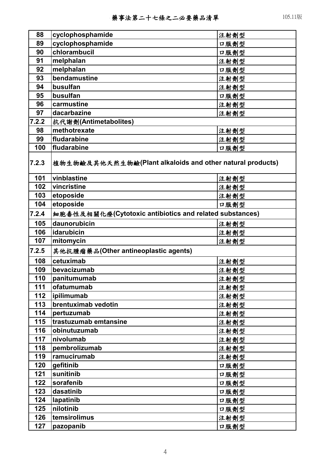| 88    | cyclophosphamide                                          | 注射劑型 |
|-------|-----------------------------------------------------------|------|
| 89    | cyclophosphamide                                          | 口服劑型 |
| 90    | chlorambucil                                              | 口服劑型 |
| 91    | melphalan                                                 | 注射劑型 |
| 92    | melphalan                                                 | 口服劑型 |
| 93    | bendamustine                                              | 注射劑型 |
| 94    | busulfan                                                  | 注射劑型 |
| 95    | busulfan                                                  | 口服劑型 |
| 96    | carmustine                                                | 注射劑型 |
| 97    | dacarbazine                                               | 注射劑型 |
| 7.2.2 | 抗代謝劑(Antimetabolites)                                     |      |
| 98    | methotrexate                                              | 注射劑型 |
| 99    | fludarabine                                               | 注射劑型 |
| 100   | fludarabine                                               | 口服劑型 |
| 7.2.3 | 植物生物鹼及其他天然生物鹼(Plant alkaloids and other natural products) |      |
| 101   | vinblastine                                               | 注射劑型 |
| 102   | vincristine                                               | 注射劑型 |
| 103   | etoposide                                                 | 注射劑型 |
| 104   | etoposide                                                 | 口服劑型 |
| 7.2.4 | 細胞毒性及相關化療(Cytotoxic antibiotics and related substances)   |      |
| 105   | daunorubicin                                              | 注射劑型 |
| 106   | idarubicin                                                | 注射劑型 |
| 107   | mitomycin                                                 | 注射劑型 |
| 7.2.5 | 其他抗腫瘤藥品(Other antineoplastic agents)                      |      |
| 108   | cetuximab                                                 | 注射劑型 |
| 109   | bevacizumab                                               | 注射劑型 |
| 110   | panitumumab                                               | 注射劑型 |
| 111   | ofatumumab                                                | 注射劑型 |
| 112   | ipilimumab                                                | 注射劑型 |
| 113   | brentuximab vedotin                                       | 注射劑型 |
| 114   | pertuzumab                                                | 注射劑型 |
| 115   | trastuzumab emtansine                                     | 注射劑型 |
| 116   | obinutuzumab                                              | 注射劑型 |
| 117   | nivolumab                                                 | 注射劑型 |
| 118   | pembrolizumab                                             | 注射劑型 |
| 119   | ramucirumab                                               | 注射劑型 |
| 120   | gefitinib                                                 | 口服劑型 |
| 121   | sunitinib                                                 | 口服劑型 |
| 122   | sorafenib                                                 | 口服劑型 |
| 123   | dasatinib                                                 | 口服劑型 |
| 124   | lapatinib                                                 | 口服劑型 |
| 125   | nilotinib                                                 | 口服劑型 |
| 126   | temsirolimus                                              | 注射劑型 |
| 127   | pazopanib                                                 | 口服劑型 |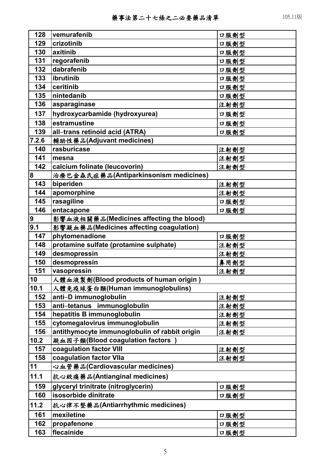| 128            | vemurafenib                                   | 口服劑型 |
|----------------|-----------------------------------------------|------|
| 129            | crizotinib                                    | 口服劑型 |
| 130            | axitinib                                      | 口服劑型 |
| 131            | regorafenib                                   | 口服劑型 |
| 132            | dabrafenib                                    | 口服劑型 |
| 133            | ibrutinib                                     | 口服劑型 |
| 134            | ceritinib                                     | 口服劑型 |
| 135            | nintedanib                                    | 口服劑型 |
| 136            | asparaginase                                  | 注射劑型 |
| 137            | hydroxycarbamide (hydroxyurea)                | 口服劑型 |
| 138            | estramustine                                  | 口服劑型 |
| 139            | all-trans retinoid acid (ATRA)                | 口服劑型 |
| 7.2.6          | 輔助性藥品(Adjuvant medicines)                     |      |
| 140            | rasburicase                                   | 注射劑型 |
| 141            | mesna                                         | 注射劑型 |
| 142            | calcium folinate (leucovorin)                 | 注射劑型 |
| 8              | 治療巴金森氏症藥品(Antiparkinsonism medicines)         |      |
| 143            | biperiden                                     | 注射劑型 |
| 144            | apomorphine                                   | 注射劑型 |
| 145            | rasagiline                                    | 口服劑型 |
| 146            | entacapone                                    | 口服劑型 |
| $\overline{9}$ | 影響血液相關藥品(Medicines affecting the blood)       |      |
| 9.1            | 影響凝血藥品(Medicines affecting coagulation)       |      |
| 147            | phytomenadione                                | 口服劑型 |
| 148            | protamine sulfate (protamine sulphate)        | 注射劑型 |
| 149            | desmopressin                                  | 注射劑型 |
| 150            | desmopressin                                  | 鼻用劑型 |
| 151            | vasopressin                                   | 注射劑型 |
| 10             | 人體血液製劑(Blood products of human origin)        |      |
| 10.1           | 人體免疫球蛋白類(Human immunoglobulins)               |      |
| 152            | anti-D immunoglobulin                         | 注射劑型 |
| 153            | anti-tetanus immunoglobulin                   | 注射劑型 |
| 154            | hepatitis B immunoglobulin                    | 注射劑型 |
| 155            | cytomegalovirus immunoglobulin                | 注射劑型 |
| 156            | antithymocyte immunoglobulin of rabbit origin | 注射劑型 |
| 10.2           | 凝血因子類(Blood coagulation factors               |      |
| 157            | coagulation factor VIII                       | 注射劑型 |
| 158            | coagulation factor VIIa                       | 注射劑型 |
| 11             | 心血管藥品(Cardiovascular medicines)               |      |
| 11.1           | 抗心絞痛藥品(Antianginal medicines)                 |      |
| 159            | glyceryl trinitrate (nitroglycerin)           | 口服劑型 |
| 160            | isosorbide dinitrate                          | 口服劑型 |
| 11.2           | 抗心律不整藥品(Antiarrhythmic medicines)             |      |
| 161            | mexiletine                                    | 口服劑型 |
| 162            | propafenone                                   | 口服劑型 |
| 163            | flecainide                                    | 口服劑型 |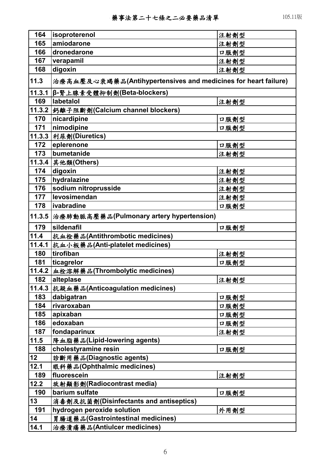| 164    | isoproterenol                                                  | 注射劑型 |
|--------|----------------------------------------------------------------|------|
| 165    | amiodarone                                                     | 注射劑型 |
| 166    | dronedarone                                                    | 口服劑型 |
| 167    | verapamil                                                      | 注射劑型 |
| 168    | digoxin                                                        | 注射劑型 |
| 11.3   | 治療高血壓及心衰竭藥品(Antihypertensives and medicines for heart failure) |      |
| 11.3.1 | β-腎上腺素受體抑制劑(Beta-blockers)                                     |      |
| 169    | labetalol                                                      | 注射劑型 |
| 11.3.2 | 鈣離子阻斷劑(Calcium channel blockers)                               |      |
| 170    | nicardipine                                                    | 口服劑型 |
| 171    | nimodipine                                                     | 口服劑型 |
| 11.3.3 | 利尿劑(Diuretics)                                                 |      |
| 172    | eplerenone                                                     | 口服劑型 |
| 173    | bumetanide                                                     | 注射劑型 |
| 11.3.4 | 其他類(Others)                                                    |      |
| 174    | digoxin                                                        | 注射劑型 |
| 175    | hydralazine                                                    | 注射劑型 |
| 176    | sodium nitroprusside                                           | 注射劑型 |
| 177    | levosimendan                                                   | 注射劑型 |
| 178    | ivabradine                                                     | 口服劑型 |
| 11.3.5 | 治療肺動脈高壓藥品(Pulmonary artery hypertension)                       |      |
| 179    | sildenafil                                                     | 口服劑型 |
| 11.4   | 抗血栓藥品(Antithrombotic medicines)                                |      |
| 11.4.1 | 抗血小板藥品(Anti-platelet medicines)                                |      |
| 180    | tirofiban                                                      | 注射劑型 |
| 181    | ticagrelor                                                     | 口服劑型 |
| 11.4.2 | 血栓溶解藥品(Thrombolytic medicines)                                 |      |
| 182    | alteplase<br>注射劑型                                              |      |
| 11.4.3 | 抗凝血藥品(Anticoagulation medicines)                               |      |
| 183    | dabigatran                                                     | 口服劑型 |
| 184    | rivaroxaban                                                    | 口服劑型 |
| 185    | apixaban                                                       | 口服劑型 |
| 186    | edoxaban                                                       | 口服劑型 |
| 187    | fondaparinux                                                   | 注射劑型 |
| 11.5   | 降血脂藥品(Lipid-lowering agents)                                   |      |
| 188    | cholestyramine resin                                           | 口服劑型 |
| 12     | 診断用藥品(Diagnostic agents)                                       |      |
| 12.1   | 眼科藥品(Ophthalmic medicines)                                     |      |
| 189    | fluorescein                                                    | 注射劑型 |
| 12.2   | 放射顯影劑(Radiocontrast media)                                     |      |
| 190    | barium sulfate                                                 | 口服劑型 |
| 13     | 消毒劑及抗菌劑(Disinfectants and antiseptics)                         |      |
| 191    | hydrogen peroxide solution                                     | 外用劑型 |
| 14     | 胃腸道藥品(Gastrointestinal medicines)                              |      |
| 14.1   | 治療潰瘍藥品(Antiulcer medicines)                                    |      |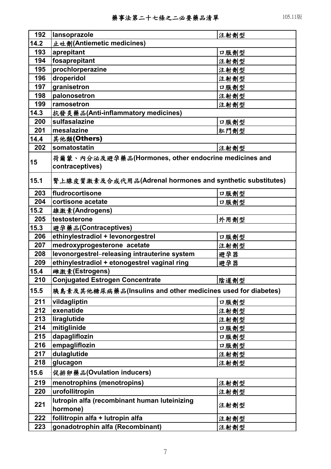| 192  | lansoprazole                                                | 注射劑型 |
|------|-------------------------------------------------------------|------|
| 14.2 | 止吐劑(Antiemetic medicines)                                   |      |
| 193  | aprepitant                                                  | 口服劑型 |
| 194  | fosaprepitant                                               | 注射劑型 |
| 195  | prochlorperazine                                            | 注射劑型 |
| 196  | droperidol                                                  | 注射劑型 |
| 197  | granisetron                                                 | 口服劑型 |
| 198  | palonosetron                                                | 注射劑型 |
| 199  | ramosetron                                                  | 注射劑型 |
| 14.3 | 抗發炎藥品(Anti-inflammatory medicines)                          |      |
| 200  | sulfasalazine                                               | 口服劑型 |
| 201  | mesalazine                                                  | 肛門劑型 |
| 14.4 | 其他類(Others)                                                 |      |
| 202  | somatostatin                                                | 注射劑型 |
|      | 荷爾蒙、內分泌及避孕藥品(Hormones, other endocrine medicines and        |      |
| 15   | contraceptives)                                             |      |
|      |                                                             |      |
| 15.1 | 腎上腺皮質激素及合成代用品(Adrenal hormones and synthetic substitutes)   |      |
| 203  | fludrocortisone                                             | 口服劑型 |
| 204  | cortisone acetate                                           | 口服劑型 |
| 15.2 | 雄激素(Androgens)                                              |      |
| 205  | testosterone                                                | 外用劑型 |
| 15.3 | 避孕藥品(Contraceptives)                                        |      |
| 206  | ethinylestradiol + levonorgestrel                           | 口服劑型 |
| 207  | medroxyprogesterone acetate                                 | 注射劑型 |
| 208  | levonorgestrel-releasing intrauterine system                | 避孕器  |
| 209  | ethinylestradiol + etonogestrel vaginal ring                | 避孕器  |
| 15.4 | 雌激素(Estrogens)                                              |      |
| 210  | <b>Conjugated Estrogen Concentrate</b>                      | 陰道劑型 |
| 15.5 | 胰島素及其他糖尿病藥品(Insulins and other medicines used for diabetes) |      |
| 211  | vildagliptin                                                | 口服劑型 |
| 212  | exenatide                                                   | 注射劑型 |
| 213  | liraglutide                                                 | 注射劑型 |
| 214  | mitiglinide                                                 | 口服劑型 |
| 215  | dapagliflozin                                               | 口服劑型 |
| 216  | empagliflozin                                               | 口服劑型 |
| 217  | dulaglutide                                                 | 注射劑型 |
| 218  | glucagon                                                    | 注射劑型 |
| 15.6 | 促排卵藥品(Ovulation inducers)                                   |      |
| 219  | menotrophins (menotropins)                                  | 注射劑型 |
| 220  | urofollitropin                                              | 注射劑型 |
| 221  | lutropin alfa (recombinant human luteinizing<br>hormone)    | 注射劑型 |
| 222  | follitropin alfa + lutropin alfa                            | 注射劑型 |
| 223  | gonadotrophin alfa (Recombinant)                            | 注射劑型 |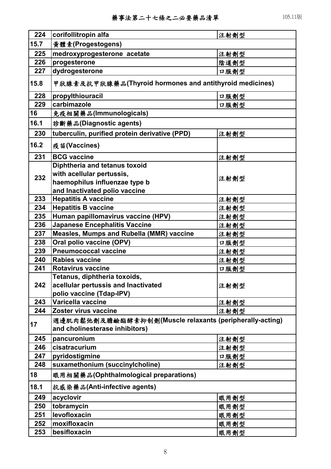| 224  | corifollitropin alfa                                                                            | 注射劑型 |  |
|------|-------------------------------------------------------------------------------------------------|------|--|
| 15.7 | 黃體素(Progestogens)                                                                               |      |  |
| 225  | medroxyprogesterone acetate                                                                     | 注射劑型 |  |
| 226  | progesterone                                                                                    | 陰道劑型 |  |
| 227  | dydrogesterone                                                                                  | 口服劑型 |  |
| 15.8 | 甲狀腺素及抗甲狀腺藥品(Thyroid hormones and antithyroid medicines)                                         |      |  |
| 228  | propylthiouracil                                                                                | 口服劑型 |  |
| 229  | carbimazole                                                                                     | 口服劑型 |  |
| 16   | 免疫相關藥品(Immunologicals)                                                                          |      |  |
| 16.1 | 診斷藥品(Diagnostic agents)                                                                         |      |  |
| 230  | tuberculin, purified protein derivative (PPD)                                                   | 注射劑型 |  |
| 16.2 | 疫苗(Vaccines)                                                                                    |      |  |
| 231  | <b>BCG</b> vaccine                                                                              | 注射劑型 |  |
|      | Diphtheria and tetanus toxoid                                                                   |      |  |
| 232  | with acellular pertussis,                                                                       | 注射劑型 |  |
|      | haemophilus influenzae type b                                                                   |      |  |
|      | and Inactivated polio vaccine                                                                   |      |  |
| 233  | <b>Hepatitis A vaccine</b>                                                                      | 注射劑型 |  |
| 234  | <b>Hepatitis B vaccine</b>                                                                      | 注射劑型 |  |
| 235  | Human papillomavirus vaccine (HPV)                                                              | 注射劑型 |  |
| 236  | <b>Japanese Encephalitis Vaccine</b>                                                            | 注射劑型 |  |
| 237  | Measles, Mumps and Rubella (MMR) vaccine                                                        | 注射劑型 |  |
| 238  | Oral polio vaccine (OPV)                                                                        | 口服劑型 |  |
| 239  | <b>Pneumococcal vaccine</b>                                                                     | 注射劑型 |  |
| 240  | <b>Rabies vaccine</b>                                                                           | 注射劑型 |  |
| 241  | <b>Rotavirus vaccine</b>                                                                        | 口服劑型 |  |
| 242  | Tetanus, diphtheria toxoids,<br>acellular pertussis and Inactivated<br>polio vaccine (Tdap-IPV) | 注射劑型 |  |
| 243  | Varicella vaccine                                                                               | 注射劑型 |  |
| 244  | Zoster virus vaccine                                                                            | 注射劑型 |  |
| 17   | 週邊肌肉鬆弛劑及膽鹼酯酵素抑制劑(Muscle relaxants (peripherally-acting)<br>and cholinesterase inhibitors)       |      |  |
| 245  | pancuronium                                                                                     | 注射劑型 |  |
| 246  | cisatracurium                                                                                   | 注射劑型 |  |
| 247  | pyridostigmine                                                                                  | 口服劑型 |  |
| 248  | suxamethonium (succinylcholine)                                                                 | 注射劑型 |  |
| 18   | 眼用相關藥品(Ophthalmological preparations)                                                           |      |  |
| 18.1 | 抗感染藥品(Anti-infective agents)                                                                    |      |  |
| 249  | acyclovir                                                                                       | 眼用劑型 |  |
| 250  | tobramycin                                                                                      | 眼用劑型 |  |
| 251  | levofloxacin                                                                                    | 眼用劑型 |  |
| 252  | moxifloxacin                                                                                    | 眼用劑型 |  |
| 253  | besifloxacin                                                                                    | 眼用劑型 |  |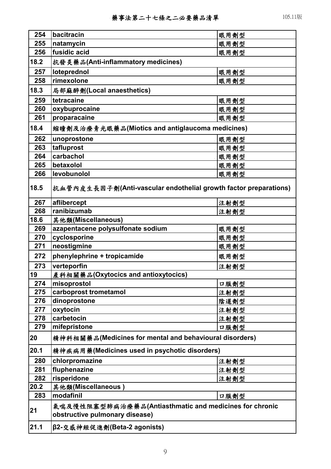| 254  | bacitracin                                                                               | 眼用劑型 |  |
|------|------------------------------------------------------------------------------------------|------|--|
| 255  | natamycin                                                                                | 眼用劑型 |  |
| 256  | fusidic acid                                                                             | 眼用劑型 |  |
| 18.2 | 抗發炎藥品(Anti-inflammatory medicines)                                                       |      |  |
| 257  | loteprednol                                                                              | 眼用劑型 |  |
| 258  | rimexolone                                                                               | 眼用劑型 |  |
| 18.3 | 局部麻醉劑(Local anaesthetics)                                                                |      |  |
| 259  | tetracaine                                                                               | 眼用劑型 |  |
| 260  | oxybuprocaine                                                                            | 眼用劑型 |  |
| 261  | proparacaine                                                                             | 眼用劑型 |  |
| 18.4 | 縮瞳劑及治療青光眼藥品(Miotics and antiglaucoma medicines)                                          |      |  |
| 262  | unoprostone                                                                              | 眼用劑型 |  |
| 263  | tafluprost                                                                               | 眼用劑型 |  |
| 264  | carbachol                                                                                | 眼用劑型 |  |
| 265  | betaxolol                                                                                | 眼用劑型 |  |
| 266  | levobunolol                                                                              | 眼用劑型 |  |
| 18.5 | 抗血管内皮生長因子劑(Anti-vascular endothelial growth factor preparations)                         |      |  |
| 267  | aflibercept                                                                              | 注射劑型 |  |
| 268  | ranibizumab                                                                              | 注射劑型 |  |
| 18.6 | 其他類(Miscellaneous)                                                                       |      |  |
| 269  | azapentacene polysulfonate sodium                                                        | 眼用劑型 |  |
| 270  | cyclosporine                                                                             | 眼用劑型 |  |
| 271  | neostigmine                                                                              | 眼用劑型 |  |
| 272  | phenylephrine + tropicamide                                                              | 眼用劑型 |  |
| 273  | verteporfin                                                                              | 注射劑型 |  |
| 19   | 產科相關藥品(Oxytocics and antioxytocics)                                                      |      |  |
| 274  | misoprostol                                                                              | 口服劑型 |  |
| 275  | carboprost trometamol                                                                    | 注射劑型 |  |
| 276  | dinoprostone                                                                             | 陰道劑型 |  |
| 277  | oxytocin                                                                                 | 注射劑型 |  |
| 278  | carbetocin                                                                               | 注射劑型 |  |
| 279  | mifepristone                                                                             | 口服劑型 |  |
| 20   | 精神科相關藥品(Medicines for mental and behavioural disorders)                                  |      |  |
| 20.1 | 精神疾病用藥(Medicines used in psychotic disorders)                                            |      |  |
| 280  | chlorpromazine                                                                           | 注射劑型 |  |
| 281  | fluphenazine                                                                             | 注射劑型 |  |
| 282  | risperidone                                                                              | 注射劑型 |  |
| 20.2 | 其他類(Miscellaneous)                                                                       |      |  |
| 283  | modafinil                                                                                | 口服劑型 |  |
| 21   | 氣喘及慢性阻塞型肺病治療藥品(Antiasthmatic and medicines for chronic<br>obstructive pulmonary disease) |      |  |
| 21.1 | β2-交感神經促進劑(Beta-2 agonists)                                                              |      |  |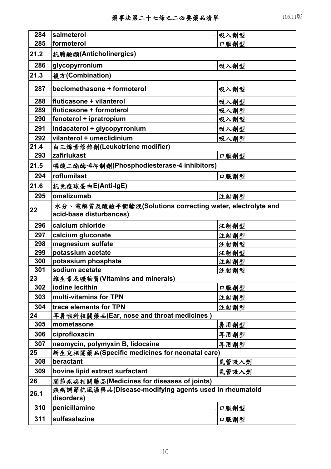| 284  | salmeterol                                                                           | 吸入劑型  |  |
|------|--------------------------------------------------------------------------------------|-------|--|
| 285  | formoterol                                                                           | 口服劑型  |  |
| 21.2 | 抗膽鹼類(Anticholinergics)                                                               |       |  |
| 286  | glycopyrronium                                                                       | 吸入劑型  |  |
| 21.3 | 複方(Combination)                                                                      |       |  |
| 287  | beclomethasone + formoterol                                                          | 吸入劑型  |  |
| 288  | fluticasone + vilanterol                                                             | 吸入劑型  |  |
| 289  | fluticasone + formoterol                                                             | 吸入劑型  |  |
| 290  | fenoterol + ipratropium                                                              | 吸入劑型  |  |
| 291  | indacaterol + glycopyrronium                                                         | 吸入劑型  |  |
| 292  | vilanterol + umeclidinium                                                            | 吸入劑型  |  |
| 21.4 | 白三烯素修飾劑(Leukotriene modifier)                                                        |       |  |
| 293  | zafirlukast                                                                          | 口服劑型  |  |
| 21.5 | 磷酸二酯酶-4抑制劑(Phosphodiesterase-4 inhibitors)                                           |       |  |
| 294  | roflumilast                                                                          | 口服劑型  |  |
| 21.6 | 抗免疫球蛋白E(Anti-IgE)                                                                    |       |  |
| 295  | omalizumab                                                                           | 注射劑型  |  |
| 22   | 水分、電解質及酸鹼平衡輸液(Solutions correcting water, electrolyte and<br>acid-base disturbances) |       |  |
| 296  | calcium chloride                                                                     | 注射劑型  |  |
| 297  | calcium gluconate                                                                    | 注射劑型  |  |
| 298  | magnesium sulfate                                                                    | 注射劑型  |  |
| 299  | potassium acetate                                                                    | 注射劑型  |  |
| 300  | potassium phosphate                                                                  | 注射劑型  |  |
| 301  | sodium acetate                                                                       | 注射劑型  |  |
| 23   | 維生素及礦物質(Vitamins and minerals)                                                       |       |  |
| 302  | iodine lecithin                                                                      | 口服劑型  |  |
| 303  | multi-vitamins for TPN                                                               | 注射劑型  |  |
| 304  | trace elements for TPN                                                               | 注射劑型  |  |
| 24   | 耳鼻喉科相關藥品(Ear, nose and throat medicines)                                             |       |  |
| 305  | mometasone                                                                           | 鼻用劑型  |  |
| 306  | ciprofloxacin                                                                        | 耳用劑型  |  |
| 307  | neomycin, polymyxin B, lidocaine                                                     | 耳用劑型  |  |
| 25   | 新生兒相關藥品(Specific medicines for neonatal care)                                        |       |  |
| 308  | beractant                                                                            | 氣管吸入劑 |  |
| 309  | bovine lipid extract surfactant                                                      | 氣管吸入劑 |  |
| 26   | 關節疾病相關藥品(Medicines for diseases of joints)                                           |       |  |
| 26.1 | 疾病調節抗風濕藥品(Disease-modifying agents used in rheumatoid<br>disorders)                  |       |  |
| 310  | penicillamine                                                                        | 口服劑型  |  |
| 311  | sulfasalazine                                                                        | 口服劑型  |  |